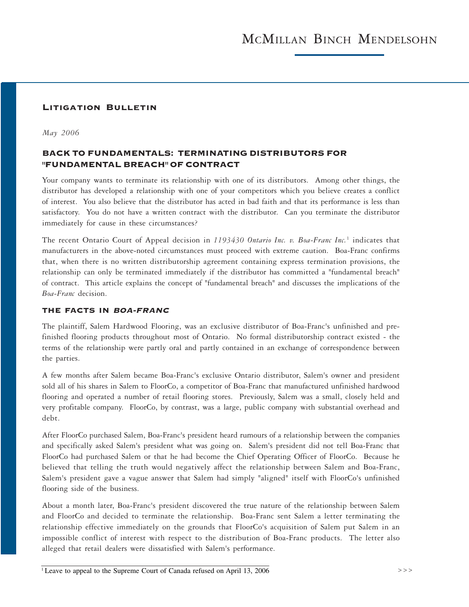# LITIGATION BULLETIN

*May 2006*

# BACK TO FUNDAMENTALS: TERMINATING DISTRIBUTORS FOR "FUNDAMENTAL BREACH" OF CONTRACT

Your company wants to terminate its relationship with one of its distributors. Among other things, the distributor has developed a relationship with one of your competitors which you believe creates a conflict of interest. You also believe that the distributor has acted in bad faith and that its performance is less than satisfactory. You do not have a written contract with the distributor. Can you terminate the distributor immediately for cause in these circumstances?

The recent Ontario Court of Appeal decision in *1193430 Ontario Inc. v. Boa-Franc Inc.*<sup>1</sup> indicates that manufacturers in the above-noted circumstances must proceed with extreme caution. Boa-Franc confirms that, when there is no written distributorship agreement containing express termination provisions, the relationship can only be terminated immediately if the distributor has committed a "fundamental breach" of contract. This article explains the concept of "fundamental breach" and discusses the implications of the *Boa-Franc* decision.

#### THE FACTS IN BOA-FRANC

The plaintiff, Salem Hardwood Flooring, was an exclusive distributor of Boa-Franc's unfinished and prefinished flooring products throughout most of Ontario. No formal distributorship contract existed - the terms of the relationship were partly oral and partly contained in an exchange of correspondence between the parties.

A few months after Salem became Boa-Franc's exclusive Ontario distributor, Salem's owner and president sold all of his shares in Salem to FloorCo, a competitor of Boa-Franc that manufactured unfinished hardwood flooring and operated a number of retail flooring stores. Previously, Salem was a small, closely held and very profitable company. FloorCo, by contrast, was a large, public company with substantial overhead and debt.

After FloorCo purchased Salem, Boa-Franc's president heard rumours of a relationship between the companies and specifically asked Salem's president what was going on. Salem's president did not tell Boa-Franc that FloorCo had purchased Salem or that he had become the Chief Operating Officer of FloorCo. Because he believed that telling the truth would negatively affect the relationship between Salem and Boa-Franc, Salem's president gave a vague answer that Salem had simply "aligned" itself with FloorCo's unfinished flooring side of the business.

About a month later, Boa-Franc's president discovered the true nature of the relationship between Salem and FloorCo and decided to terminate the relationship. Boa-Franc sent Salem a letter terminating the relationship effective immediately on the grounds that FloorCo's acquisition of Salem put Salem in an impossible conflict of interest with respect to the distribution of Boa-Franc products. The letter also alleged that retail dealers were dissatisfied with Salem's performance.

<sup>&</sup>lt;sup>1</sup> Leave to appeal to the Supreme Court of Canada refused on April 13, 2006  $>$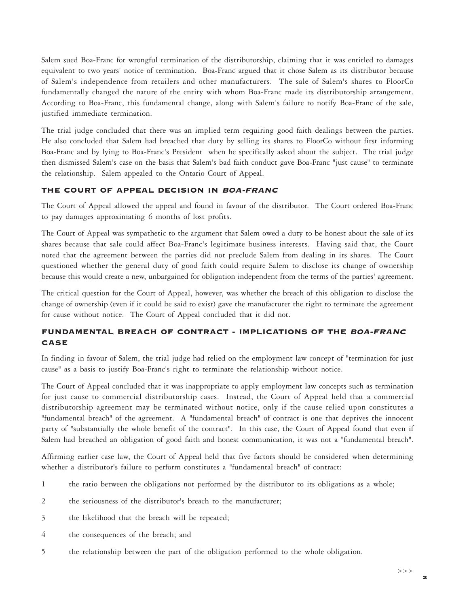Salem sued Boa-Franc for wrongful termination of the distributorship, claiming that it was entitled to damages equivalent to two years' notice of termination. Boa-Franc argued that it chose Salem as its distributor because of Salem's independence from retailers and other manufacturers. The sale of Salem's shares to FloorCo fundamentally changed the nature of the entity with whom Boa-Franc made its distributorship arrangement. According to Boa-Franc, this fundamental change, along with Salem's failure to notify Boa-Franc of the sale, justified immediate termination.

The trial judge concluded that there was an implied term requiring good faith dealings between the parties. He also concluded that Salem had breached that duty by selling its shares to FloorCo without first informing Boa-Franc and by lying to Boa-Franc's President when he specifically asked about the subject. The trial judge then dismissed Salem's case on the basis that Salem's bad faith conduct gave Boa-Franc "just cause" to terminate the relationship. Salem appealed to the Ontario Court of Appeal.

# THE COURT OF APPEAL DECISION IN BOA-FRANC

The Court of Appeal allowed the appeal and found in favour of the distributor. The Court ordered Boa-Franc to pay damages approximating 6 months of lost profits.

The Court of Appeal was sympathetic to the argument that Salem owed a duty to be honest about the sale of its shares because that sale could affect Boa-Franc's legitimate business interests. Having said that, the Court noted that the agreement between the parties did not preclude Salem from dealing in its shares. The Court questioned whether the general duty of good faith could require Salem to disclose its change of ownership because this would create a new, unbargained for obligation independent from the terms of the parties' agreement.

The critical question for the Court of Appeal, however, was whether the breach of this obligation to disclose the change of ownership (even if it could be said to exist) gave the manufacturer the right to terminate the agreement for cause without notice. The Court of Appeal concluded that it did not.

# FUNDAMENTAL BREACH OF CONTRACT - IMPLICATIONS OF THE BOA-FRANC CASE

In finding in favour of Salem, the trial judge had relied on the employment law concept of "termination for just cause" as a basis to justify Boa-Franc's right to terminate the relationship without notice.

The Court of Appeal concluded that it was inappropriate to apply employment law concepts such as termination for just cause to commercial distributorship cases. Instead, the Court of Appeal held that a commercial distributorship agreement may be terminated without notice, only if the cause relied upon constitutes a "fundamental breach" of the agreement. A "fundamental breach" of contract is one that deprives the innocent party of "substantially the whole benefit of the contract". In this case, the Court of Appeal found that even if Salem had breached an obligation of good faith and honest communication, it was not a "fundamental breach".

Affirming earlier case law, the Court of Appeal held that five factors should be considered when determining whether a distributor's failure to perform constitutes a "fundamental breach" of contract:

- 1 the ratio between the obligations not performed by the distributor to its obligations as a whole;
- 2 the seriousness of the distributor's breach to the manufacturer;
- 3 the likelihood that the breach will be repeated;
- 4 the consequences of the breach; and
- 5 the relationship between the part of the obligation performed to the whole obligation.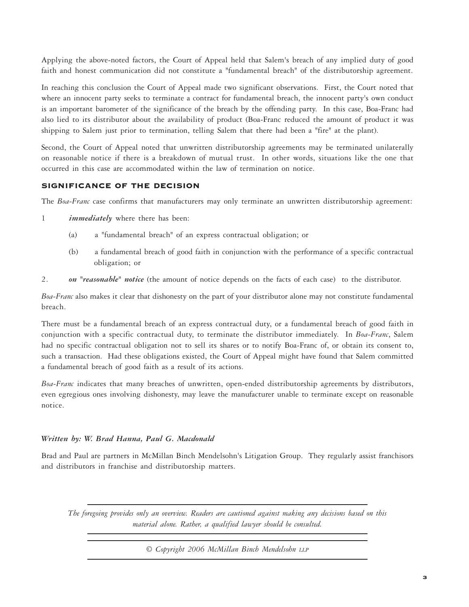Applying the above-noted factors, the Court of Appeal held that Salem's breach of any implied duty of good faith and honest communication did not constitute a "fundamental breach" of the distributorship agreement.

In reaching this conclusion the Court of Appeal made two significant observations. First, the Court noted that where an innocent party seeks to terminate a contract for fundamental breach, the innocent party's own conduct is an important barometer of the significance of the breach by the offending party. In this case, Boa-Franc had also lied to its distributor about the availability of product (Boa-Franc reduced the amount of product it was shipping to Salem just prior to termination, telling Salem that there had been a "fire" at the plant).

Second, the Court of Appeal noted that unwritten distributorship agreements may be terminated unilaterally on reasonable notice if there is a breakdown of mutual trust. In other words, situations like the one that occurred in this case are accommodated within the law of termination on notice.

# SIGNIFICANCE OF THE DECISION

The *Boa-Franc* case confirms that manufacturers may only terminate an unwritten distributorship agreement:

- 1 *immediately* where there has been:
	- (a) a "fundamental breach" of an express contractual obligation; or
	- (b) a fundamental breach of good faith in conjunction with the performance of a specific contractual obligation; or
- 2. *on "reasonable" notice* (the amount of notice depends on the facts of each case) to the distributor.

*Boa-Franc* also makes it clear that dishonesty on the part of your distributor alone may not constitute fundamental breach.

There must be a fundamental breach of an express contractual duty, or a fundamental breach of good faith in conjunction with a specific contractual duty, to terminate the distributor immediately. In *Boa-Franc*, Salem had no specific contractual obligation not to sell its shares or to notify Boa-Franc of, or obtain its consent to, such a transaction. Had these obligations existed, the Court of Appeal might have found that Salem committed a fundamental breach of good faith as a result of its actions.

*Boa-Franc* indicates that many breaches of unwritten, open-ended distributorship agreements by distributors, even egregious ones involving dishonesty, may leave the manufacturer unable to terminate except on reasonable notice.

# *Written by: W. Brad Hanna, Paul G. Macdonald*

Brad and Paul are partners in McMillan Binch Mendelsohn's Litigation Group. They regularly assist franchisors and distributors in franchise and distributorship matters.

*The foregoing provides only an overview. Readers are cautioned against making any decisions based on this material alone. Rather, a qualified lawyer should be consulted.*

© *Copyright 2006 McMillan Binch Mendelsohn LLP*